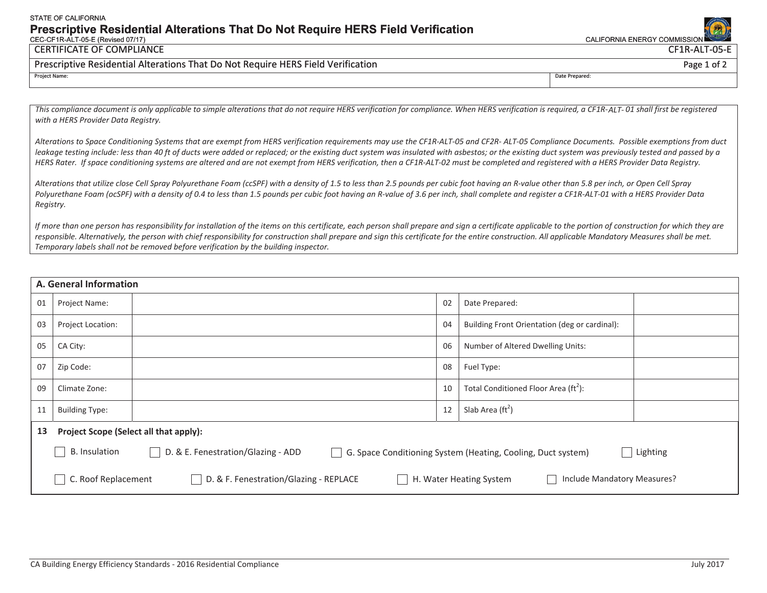#### STATE OF CALIFORNIA **Prescriptive Residential Alterations That Do Not Require HERS Field Verification**  CEC-CF1R-ALT-05-E (Revised 07/17) CALIFORNIA ENERGY COMMISSION

## CERTIFICATE OF COMPLIANCE

## Prescriptive Residential Alterations That Do Not Require HERS Field Verification

This compliance document is only applicable to simple alterations that do not require HERS verification for compliance. When HERS verification is required, a CF1R-ALT-01 shall first be reqistered *with a HERS Provider Data Registry.* 

*Alterations to Space Conditioning Systems that are exempt from HERS verification requirements may use the CF1R-ALT-05 and CF2R- ALT-05 Compliance Documents. Possible exemptions from duct*  leakage testing include: less than 40 ft of ducts were added or replaced; or the existing duct system was insulated with asbestos; or the existing duct system was previously tested and passed by a *HERS Rater. If space conditioning systems are altered and are not exempt from HERS verification, then a CF1R-ALT-02 must be completed and registered with a HERS Provider Data Registry.*

*Alterations that utilize close Cell Spray Polyurethane Foam (ccSPF) with a density of 1.5 to less than 2.5 pounds per cubic foot having an R-value other than 5.8 per inch, or Open Cell Spray Polyurethane Foam (ocSPF) with a density of 0.4 to less than 1.5 pounds per cubic foot having an R-value of 3.6 per inch, shall complete and register a CF1R-ALT-01 with a HERS Provider Data Registry.* 

*If more than one person has responsibility for installation of the items on this certificate, each person shall prepare and sign a certificate applicable to the portion of construction for which they are*  responsible. Alternatively, the person with chief responsibility for construction shall prepare and sign this certificate for the entire construction. All applicable Mandatory Measures shall be met. *Temporary labels shall not be removed before verification by the building inspector.*

| A. General Information |                                                                                                                                          |  |    |                                                 |  |  |  |
|------------------------|------------------------------------------------------------------------------------------------------------------------------------------|--|----|-------------------------------------------------|--|--|--|
| 01                     | Project Name:                                                                                                                            |  | 02 | Date Prepared:                                  |  |  |  |
| 03                     | <b>Project Location:</b>                                                                                                                 |  | 04 | Building Front Orientation (deg or cardinal):   |  |  |  |
| 05                     | CA City:                                                                                                                                 |  | 06 | Number of Altered Dwelling Units:               |  |  |  |
| 07                     | Zip Code:                                                                                                                                |  | 08 | Fuel Type:                                      |  |  |  |
| 09                     | Climate Zone:                                                                                                                            |  | 10 | Total Conditioned Floor Area ( $\text{ft}^2$ ): |  |  |  |
| 11                     | <b>Building Type:</b>                                                                                                                    |  | 12 | Slab Area $(\text{ft}^2)$                       |  |  |  |
| 13                     | Project Scope (Select all that apply):                                                                                                   |  |    |                                                 |  |  |  |
|                        | D. & E. Fenestration/Glazing - ADD<br>B. Insulation<br>  Lighting<br>G. Space Conditioning System (Heating, Cooling, Duct system)        |  |    |                                                 |  |  |  |
|                        | C. Roof Replacement<br>D. & F. Fenestration/Glazing - REPLACE<br>H. Water Heating System<br>Include Mandatory Measures?<br>$\mathcal{L}$ |  |    |                                                 |  |  |  |



 CF1R-ALT-05-E Page 1 of 2